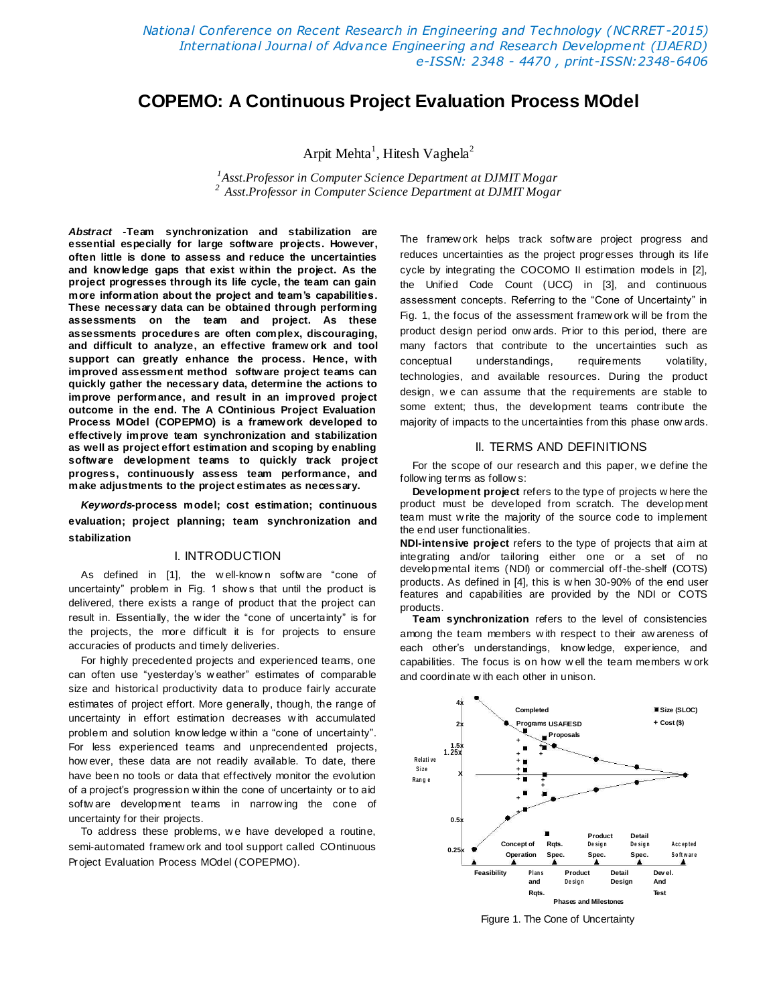# **COPEMO: A Continuous Project Evaluation Process MOdel**

Arpit Mehta<sup>1</sup>, Hitesh Vaghela<sup>2</sup>

*1 Asst.Professor in Computer Science Department at DJMIT Mogar 2 Asst.Professor in Computer Science Department at DJMIT Mogar*

*Abstract* **-Team synchronization and stabilization are essential especially for large software projects. However, often little is done to assess and reduce the uncertainties and knowledge gaps that exist within the project. As the project progresses through its life cycle, the team can gain more information about the project and team's capabilities. These necessary data can be obtained through performing assessments on the team and project. As these assessments procedures are often complex, discouraging, and difficult to analyze, an effective framew ork and tool support can greatly enhance the process. Hence, with improved assessment method software project teams can quickly gather the necessary data, determine the actions to improve performance, and result in an improved project outcome in the end. The A COntinious Project Evaluation Process MOdel (COPEPMO) is a framework developed to effectively improve team synchronization and stabilization as well as project effort estimation and scoping by enabling software development teams to quickly track project progress, continuously assess team performance, and make adjustments to the project estimates as necessary.**

*Keywords***-process model; cost estimation; continuous evaluation; project planning; team synchronization and stabilization**

### I. INTRODUCTION

As defined in [1], the w ell-know n softw are "cone of uncertainty" problem in Fig. 1 show s that until the product is delivered, there exists a range of product that the project can result in. Essentially, the w ider the "cone of uncertainty" is for the projects, the more difficult it is for projects to ensure accuracies of products and timely deliveries.

For highly precedented projects and experienced teams, one can often use "yesterday's w eather" estimates of comparable size and historical productivity data to produce fairly accurate estimates of project effort. More generally, though, the range of uncertainty in effort estimation decreases w ith accumulated problem and solution know ledge w ithin a "cone of uncertainty". For less experienced teams and unprecendented projects, how ever, these data are not readily available. To date, there have been no tools or data that effectively monitor the evolution of a project's progression w ithin the cone of uncertainty or to aid softw are development teams in narrow ing the cone of uncertainty for their projects.

To address these problems, w e have developed a routine, semi-automated framew ork and tool support called COntinuous Project Evaluation Process MOdel (COPEPMO).

The framew ork helps track softw are project progress and reduces uncertainties as the project progresses through its life cycle by integrating the COCOMO II estimation models in [2], the Unified Code Count (UCC) in [3], and continuous assessment concepts. Referring to the "Cone of Uncertainty" in Fig. 1, the focus of the assessment framew ork w ill be from the product design period onw ards. Prior to this period, there are many factors that contribute to the uncertainties such as conceptual understandings, requirements volatility, technologies, and available resources. During the product design, we can assume that the requirements are stable to some extent; thus, the development teams contribute the majority of impacts to the uncertainties from this phase onw ards.

### II. TERMS AND DEFINITIONS

For the scope of our research and this paper, w e define the follow ing terms as follow s:

**Development project** refers to the type of projects w here the product must be developed from scratch. The development team must w rite the majority of the source code to implement the end user functionalities.

**NDI-intensive project** refers to the type of projects that aim at integrating and/or tailoring either one or a set of no developmental items (NDI) or commercial off-the-shelf (COTS) products. As defined in [4], this is w hen 30-90% of the end user features and capabilities are provided by the NDI or COTS products.

**Team synchronization** refers to the level of consistencies among the team members w ith respect to their aw areness of each other's understandings, know ledge, experience, and capabilities. The focus is on how w ell the team members w ork and coordinate w ith each other in unison.



Figure 1. The Cone of Uncertainty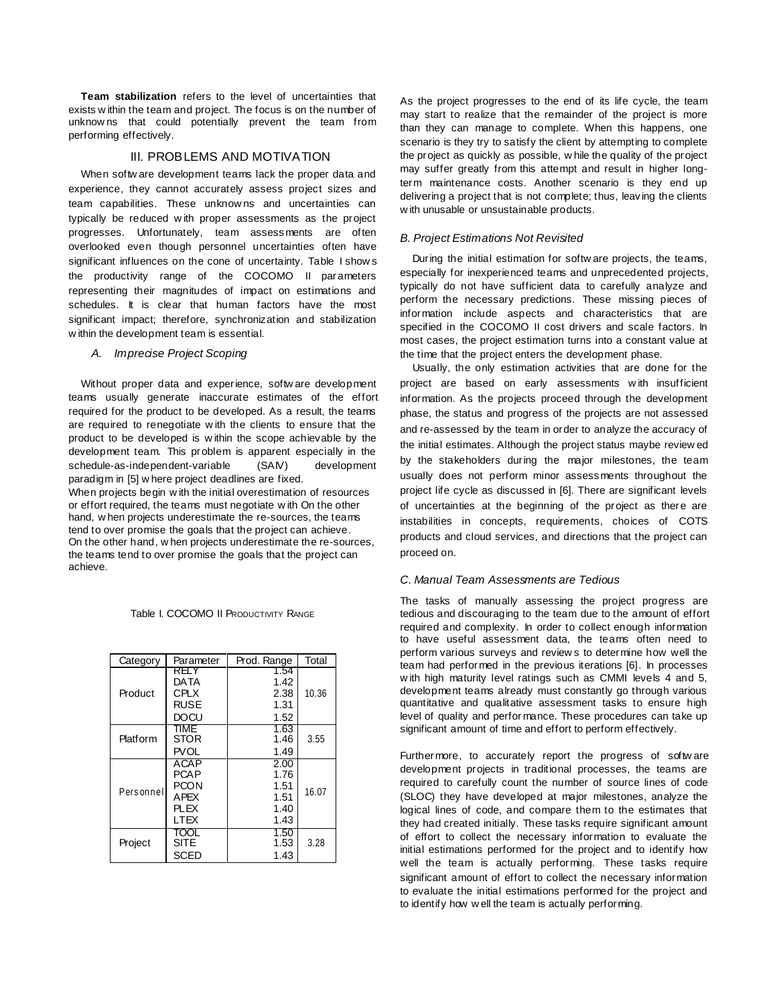**Team stabilization** refers to the level of uncertainties that exists w ithin the team and project. The focus is on the number of unknow ns that could potentially prevent the team from performing effectively.

# III. PROBLEMS AND MOTIVATION

When softw are development teams lack the proper data and experience, they cannot accurately assess project sizes and team capabilities. These unknow ns and uncertainties can typically be reduced w ith proper assessments as the project progresses. Unfortunately, team assessments are often overlooked even though personnel uncertainties often have significant influences on the cone of uncertainty. Table I show s the productivity range of the COCOMO II parameters representing their magnitudes of impact on estimations and schedules. It is clear that human factors have the most significant impact; therefore, synchronization and stabilization w ithin the development team is essential.

# *A. Imprecise Project Scoping*

Without proper data and experience, softw are development teams usually generate inaccurate estimates of the effort required for the product to be developed. As a result, the teams are required to renegotiate w ith the clients to ensure that the product to be developed is w ithin the scope achievable by the development team. This problem is apparent especially in the schedule-as-independent-variable (SAN) development paradigm in [5] w here project deadlines are fixed. When projects begin w ith the initial overestimation of resources or effort required, the teams must negotiate w ith On the other hand, w hen projects underestimate the re-sources, the teams tend to over promise the goals that the project can achieve. On the other hand, w hen projects underestimate the re-sources, the teams tend to over promise the goals that the project can achieve.

### Table I. COCOMO II PRODUCTIVITY RANGE

| Category  | Parameter           | Prod. Range  | Total |
|-----------|---------------------|--------------|-------|
| Product   | RH Y<br>DATA        | 1.54<br>1.42 |       |
|           | CPLX                | 2.38         | 10.36 |
|           | RUSE                | 1.31         |       |
|           | DOCU                | 1.52         |       |
| Platform  | TIME<br><b>STOR</b> | 1.63<br>1.46 | 3.55  |
|           | <b>PVOL</b>         | 1.49         |       |
|           |                     |              |       |
| Personnel | ACAP<br><b>PCAP</b> | 2.00<br>1.76 |       |
|           | <b>PCON</b>         | 1.51         | 16.07 |
|           | APFX                | 1.51         |       |
|           | PI FX               | 1.40         |       |
|           | I TFX               | 1.43         |       |
| Project   | ומסד                | 1.50         |       |
|           | <b>SITE</b>         | 1.53         | 3.28  |
|           | SCED                | 1.43         |       |

As the project progresses to the end of its life cycle, the team may start to realize that the remainder of the project is more than they can manage to complete. When this happens, one scenario is they try to satisfy the client by attempting to complete the project as quickly as possible, w hile the quality of the project may suffer greatly from this attempt and result in higher longterm maintenance costs. Another scenario is they end up delivering a project that is not complete; thus, leaving the clients w ith unusable or unsustainable products.

### *B. Project Estimations Not Revisited*

During the initial estimation for softw are projects, the teams, especially for inexperienced teams and unprecedented projects, typically do not have sufficient data to carefully analyze and perform the necessary predictions. These missing pieces of information include aspects and characteristics that are specified in the COCOMO II cost drivers and scale factors. In most cases, the project estimation turns into a constant value at the time that the project enters the development phase.

Usually, the only estimation activities that are done for the project are based on early assessments w ith insufficient information. As the projects proceed through the development phase, the status and progress of the projects are not assessed and re-assessed by the team in order to analyze the accuracy of the initial estimates. Although the project status maybe review ed by the stakeholders during the major milestones, the team usually does not perform minor assessments throughout the project life cycle as discussed in [6]. There are significant levels of uncertainties at the beginning of the project as there are instabilities in concepts, requirements, choices of COTS products and cloud services, and directions that the project can proceed on.

### *C. Manual Team Assessments are Tedious*

The tasks of manually assessing the project progress are tedious and discouraging to the team due to the amount of effort required and complexity. In order to collect enough information to have useful assessment data, the teams often need to perform various surveys and review s to determine how well the team had performed in the previous iterations [6]. In processes w ith high maturity level ratings such as CMMI levels 4 and 5, development teams already must constantly go through various quantitative and qualitative assessment tasks to ensure high level of quality and perfor mance. These procedures can take up significant amount of time and effort to perform effectively.

Furthermore, to accurately report the progress of softw are development projects in traditional processes, the teams are required to carefully count the number of source lines of code (SLOC) they have developed at major milestones, analyze the logical lines of code, and compare them to the estimates that they had created initially. These tasks require significant amount of effort to collect the necessary information to evaluate the initial estimations performed for the project and to identify how well the team is actually performing. These tasks require significant amount of effort to collect the necessary information to evaluate the initial estimations performed for the project and to identify how w ell the team is actually performing.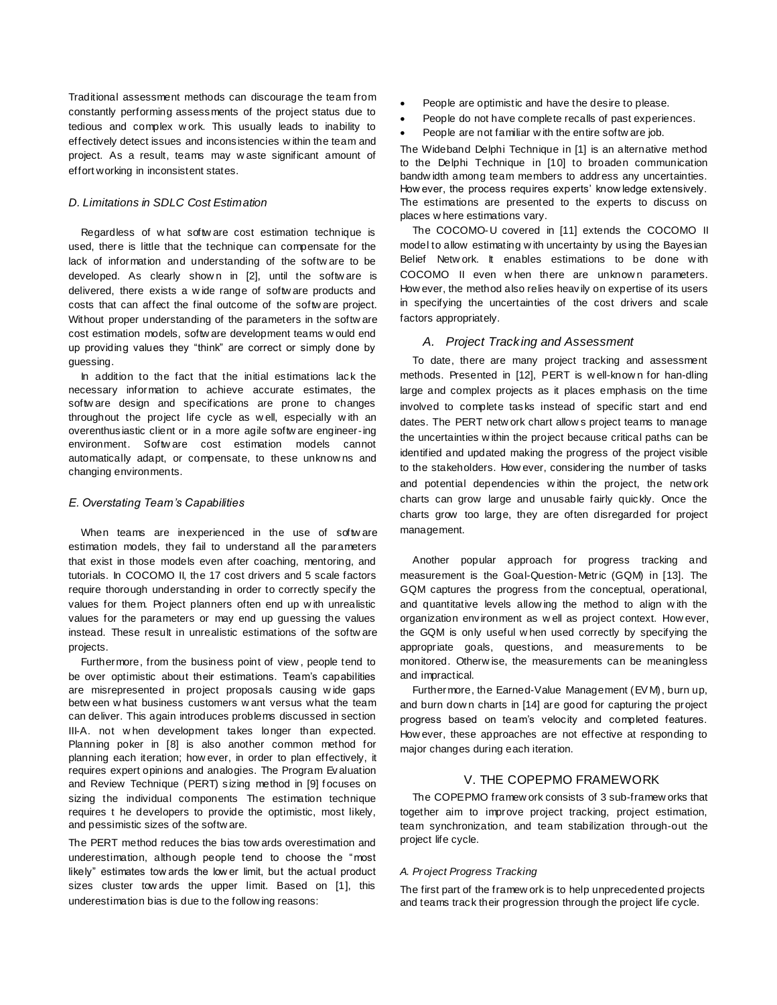Traditional assessment methods can discourage the team from constantly performing assessments of the project status due to tedious and complex w ork. This usually leads to inability to effectively detect issues and inconsistencies w ithin the team and project. As a result, teams may w aste significant amount of effort working in inconsistent states.

# *D. Limitations in SDLC Cost Estimation*

Regardless of w hat softw are cost estimation technique is used, there is little that the technique can compensate for the lack of information and understanding of the softw are to be developed. As clearly shown in [2], until the software is delivered, there exists a w ide range of softw are products and costs that can affect the final outcome of the softw are project. Without proper understanding of the parameters in the softw are cost estimation models, softw are development teams w ould end up providing values they "think" are correct or simply done by guessing.

In addition to the fact that the initial estimations lack the necessary information to achieve accurate estimates, the softw are design and specifications are prone to changes throughout the project life cycle as w ell, especially w ith an overenthusiastic client or in a more agile softw are engineer-ing environment. Softw are cost estimation models cannot automatically adapt, or compensate, to these unknow ns and changing environments.

### *E. Overstating Team's Capabilities*

When teams are inexperienced in the use of softw are estimation models, they fail to understand all the parameters that exist in those models even after coaching, mentoring, and tutorials. In COCOMO II, the 17 cost drivers and 5 scale factors require thorough understanding in order to correctly specify the values for them. Project planners often end up w ith unrealistic values for the parameters or may end up guessing the values instead. These result in unrealistic estimations of the softw are projects.

Furthermore, from the business point of view , people tend to be over optimistic about their estimations. Team's capabilities are misrepresented in project proposals causing w ide gaps betw een w hat business customers w ant versus what the team can deliver. This again introduces problems discussed in section III-A. not w hen development takes longer than expected. Planning poker in [8] is also another common method for planning each iteration; how ever, in order to plan effectively, it requires expert opinions and analogies. The Program Evaluation and Review Technique (PERT) sizing method in [9] focuses on sizing the individual components The estimation technique requires t he developers to provide the optimistic, most likely, and pessimistic sizes of the softw are.

The PERT method reduces the bias tow ards overestimation and underestimation, although people tend to choose the "most likely" estimates tow ards the low er limit, but the actual product sizes cluster tow ards the upper limit. Based on [1], this underestimation bias is due to the follow ing reasons:

- People are optimistic and have the desire to please.
- People do not have complete recalls of past experiences.
- People are not familiar w ith the entire softw are job.

The Wideband Delphi Technique in [1] is an alternative method to the Delphi Technique in [10] to broaden communication bandw idth among team members to address any uncertainties. How ever, the process requires experts' know ledge extensively. The estimations are presented to the experts to discuss on places w here estimations vary.

The COCOMO-U covered in [11] extends the COCOMO II model to allow estimating w ith uncertainty by using the Bayesian Belief Netw ork. It enables estimations to be done w ith COCOMO II even when there are unknown parameters. How ever, the method also relies heavily on expertise of its users in specifying the uncertainties of the cost drivers and scale factors appropriately.

### *A. Project Tracking and Assessment*

To date, there are many project tracking and assessment methods. Presented in [12], PERT is w ell-know n for han-dling large and complex projects as it places emphasis on the time involved to complete tasks instead of specific start and end dates. The PERT netw ork chart allow s project teams to manage the uncertainties w ithin the project because critical paths can be identified and updated making the progress of the project visible to the stakeholders. How ever, considering the number of tasks and potential dependencies w ithin the project, the netw ork charts can grow large and unusable fairly quickly. Once the charts grow too large, they are often disregarded for project management.

Another popular approach for progress tracking and measurement is the Goal-Question-Metric (GQM) in [13]. The GQM captures the progress from the conceptual, operational, and quantitative levels allow ing the method to align w ith the organization environment as w ell as project context. How ever, the GQM is only useful w hen used correctly by specifying the appropriate goals, questions, and measurements to be monitored. Otherw ise, the measurements can be meaningless and impractical.

Furthermore, the Earned-Value Management (EV M), burn up, and burn dow n charts in [14] are good for capturing the project progress based on team's velocity and completed features. How ever, these approaches are not effective at responding to major changes during each iteration.

### V. THE COPEPMO FRAMEWORK

The COPEPMO framew ork consists of 3 sub-framew orks that together aim to improve project tracking, project estimation, team synchronization, and team stabilization through-out the project life cycle.

#### *A. Project Progress Tracking*

The first part of the framew ork is to help unprecedented projects and teams track their progression through the project life cycle.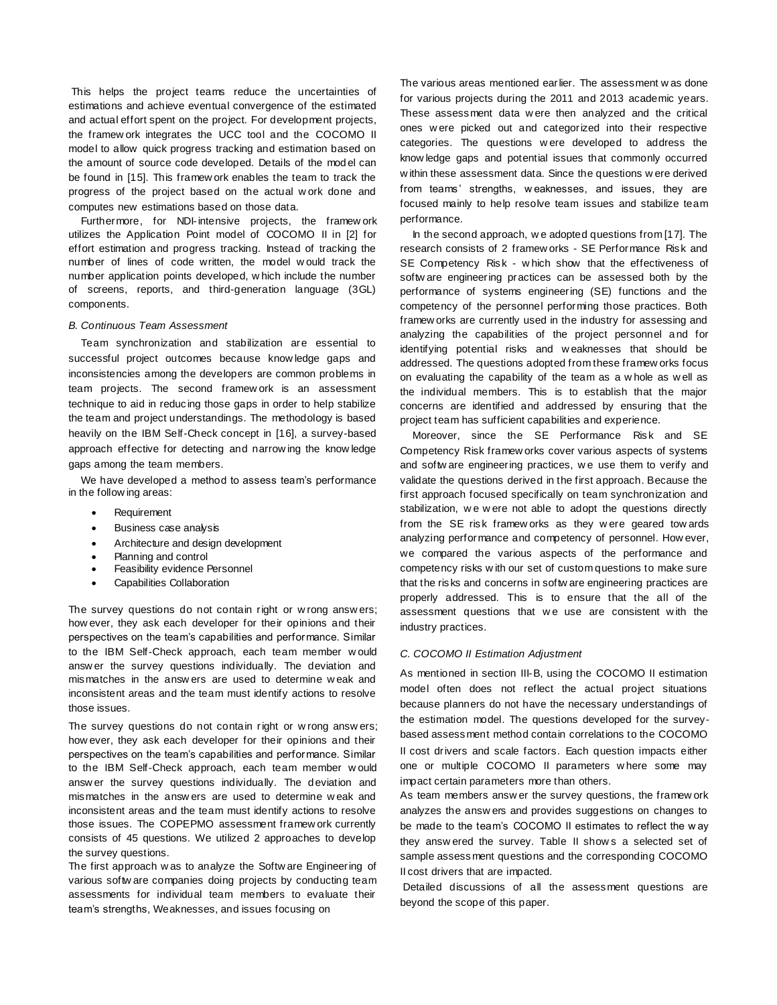This helps the project teams reduce the uncertainties of estimations and achieve eventual convergence of the estimated and actual effort spent on the project. For development projects, the framew ork integrates the UCC tool and the COCOMO II model to allow quick progress tracking and estimation based on the amount of source code developed. Details of the mod el can be found in [15]. This framew ork enables the team to track the progress of the project based on the actual w ork done and computes new estimations based on those data.

Furthermore, for NDI-intensive projects, the framew ork utilizes the Application Point model of COCOMO II in [2] for effort estimation and progress tracking. Instead of tracking the number of lines of code written, the model w ould track the number application points developed, w hich include the number of screens, reports, and third-generation language (3GL) components.

#### *B. Continuous Team Assessment*

Team synchronization and stabilization are essential to successful project outcomes because know ledge gaps and inconsistencies among the developers are common problems in team projects. The second framew ork is an assessment technique to aid in reducing those gaps in order to help stabilize the team and project understandings. The methodology is based heavily on the IBM Self-Check concept in [16], a survey-based approach effective for detecting and narrow ing the know ledge gaps among the team members.

We have developed a method to assess team's performance in the follow ing areas:

- Requirement
- Business case analysis
- Architecture and design development
- Planning and control
- Feasibility evidence Personnel
- Capabilities Collaboration

The survey questions do not contain right or w rong answ ers; how ever, they ask each developer for their opinions and their perspectives on the team's capabilities and performance. Similar to the IBM Self-Check approach, each team member w ould answ er the survey questions individually. The deviation and mismatches in the answ ers are used to determine w eak and inconsistent areas and the team must identify actions to resolve those issues.

The survey questions do not contain right or w rong answ ers; how ever, they ask each developer for their opinions and their perspectives on the team's capabilities and performance. Similar to the IBM Self-Check approach, each team member w ould answ er the survey questions individually. The deviation and mismatches in the answ ers are used to determine w eak and inconsistent areas and the team must identify actions to resolve those issues. The COPEPMO assessment framew ork currently consists of 45 questions. We utilized 2 approaches to develop the survey questions.

The first approach w as to analyze the Softw are Engineering of various softw are companies doing projects by conducting team assessments for individual team members to evaluate their team's strengths, Weaknesses, and issues focusing on

The various areas mentioned earlier. The assessment w as done for various projects during the 2011 and 2013 academic years. These assessment data w ere then analyzed and the critical ones w ere picked out and categorized into their respective categories. The questions w ere developed to address the know ledge gaps and potential issues that commonly occurred w ithin these assessment data. Since the questions w ere derived from teams' strengths, w eaknesses, and issues, they are focused mainly to help resolve team issues and stabilize team performance.

In the second approach, w e adopted questions from [17]. The research consists of 2 framew orks - SE Performance Risk and SE Competency Risk - w hich show that the effectiveness of softw are engineering practices can be assessed both by the performance of systems engineering (SE) functions and the competency of the personnel performing those practices. Both framew orks are currently used in the industry for assessing and analyzing the capabilities of the project personnel a nd for identifying potential risks and w eaknesses that should be addressed. The questions adopted from these framew orks focus on evaluating the capability of the team as a w hole as w ell as the individual members. This is to establish that the major concerns are identified and addressed by ensuring that the project team has sufficient capabilities and experience.

Moreover, since the SE Performance Risk and SE Competency Risk framew orks cover various aspects of systems and softw are engineering practices, w e use them to verify and validate the questions derived in the first approach. Because the first approach focused specifically on team synchronization and stabilization, w e w ere not able to adopt the questions directly from the SE risk framew orks as they w ere geared tow ards analyzing performance and competency of personnel. How ever, we compared the various aspects of the performance and competency risks w ith our set of custom questions to make sure that the risks and concerns in softw are engineering practices are properly addressed. This is to ensure that the all of the assessment questions that we use are consistent with the industry practices.

#### *C. COCOMO II Estimation Adjustment*

As mentioned in section III-B, using the COCOMO II estimation model often does not reflect the actual project situations because planners do not have the necessary understandings of the estimation model. The questions developed for the surveybased assessment method contain correlations to the COCOMO II cost drivers and scale factors. Each question impacts either one or multiple COCOMO II parameters w here some may impact certain parameters more than others.

As team members answ er the survey questions, the framew ork analyzes the answ ers and provides suggestions on changes to be made to the team's COCOMO II estimates to reflect the w ay they answ ered the survey. Table II show s a selected set of sample assessment questions and the corresponding COCOMO II cost drivers that are impacted.

Detailed discussions of all the assessment questions are beyond the scope of this paper.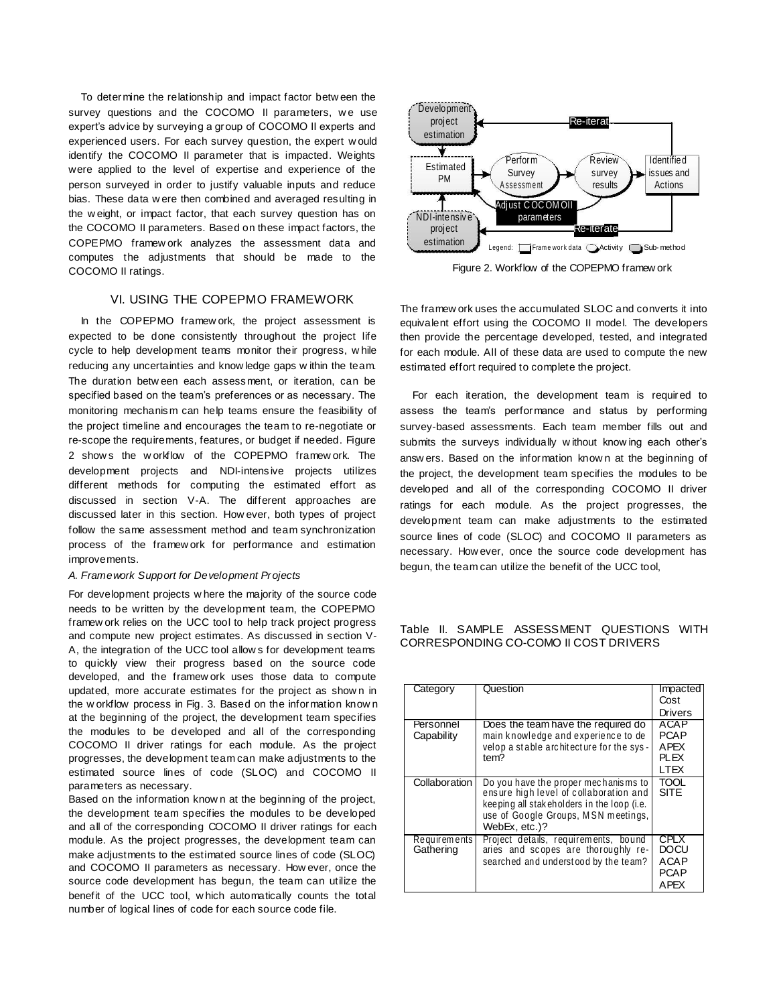To determine the relationship and impact factor betw een the survey questions and the COCOMO II parameters, we use expert's advice by surveying a group of COCOMO II experts and experienced users. For each survey question, the expert w ould identify the COCOMO II parameter that is impacted. Weights were applied to the level of expertise and experience of the person surveyed in order to justify valuable inputs and reduce bias. These data w ere then combined and averaged resulting in the w eight, or impact factor, that each survey question has on the COCOMO II parameters. Based on these impact factors, the COPEPMO framew ork analyzes the assessment data and computes the adjustments that should be made to the COCOMO II ratings.

# VI. USING THE COPEPMO FRAMEWORK

In the COPEPMO framew ork, the project assessment is expected to be done consistently throughout the project life cycle to help development teams monitor their progress, w hile reducing any uncertainties and know ledge gaps w ithin the team. The duration betw een each assessment, or iteration, can be specified based on the team's preferences or as necessary. The monitoring mechanism can help teams ensure the feasibility of the project timeline and encourages the team to re-negotiate or re-scope the requirements, features, or budget if needed. Figure 2 show s the w orkflow of the COPEPMO framew ork. The development projects and NDI-intensive projects utilizes different methods for computing the estimated effort as discussed in section V-A. The different approaches are discussed later in this section. How ever, both types of project follow the same assessment method and team synchronization process of the framew ork for performance and estimation improvements.

#### *A. Framework Support for Development Projects*

For development projects w here the majority of the source code needs to be written by the development team, the COPEPMO framew ork relies on the UCC tool to help track project progress and compute new project estimates. As discussed in section V-A, the integration of the UCC tool allow s for development teams to quickly view their progress based on the source code developed, and the framew ork uses those data to compute updated, more accurate estimates for the project as show n in the w orkflow process in Fig. 3. Based on the information know n at the beginning of the project, the development team specifies the modules to be developed and all of the corresponding COCOMO II driver ratings for each module. As the project progresses, the development team can make adjustments to the estimated source lines of code (SLOC) and COCOMO II parameters as necessary.

Based on the information know n at the beginning of the project, the development team specifies the modules to be developed and all of the corresponding COCOMO II driver ratings for each module. As the project progresses, the development team can make adjustments to the estimated source lines of code (SLOC) and COCOMO II parameters as necessary. How ever, once the source code development has begun, the team can utilize the benefit of the UCC tool, w hich automatically counts the total number of logical lines of code for each source code file.



Figure 2. Workflow of the COPEPMO framew ork

The framew ork uses the accumulated SLOC and converts it into equivalent effort using the COCOMO II model. The developers then provide the percentage developed, tested, and integrated for each module. All of these data are used to compute the new estimated effort required to complete the project.

For each iteration, the development team is required to assess the team's performance and status by performing survey-based assessments. Each team member fills out and submits the surveys individually w ithout know ing each other's answ ers. Based on the information know n at the beginning of the project, the development team specifies the modules to be developed and all of the corresponding COCOMO II driver ratings for each module. As the project progresses, the development team can make adjustments to the estimated source lines of code (SLOC) and COCOMO II parameters as necessary. How ever, once the source code development has begun, the team can utilize the benefit of the UCC tool,

| Category                  | Question                                                                                                                                                                             | Impacted                   |
|---------------------------|--------------------------------------------------------------------------------------------------------------------------------------------------------------------------------------|----------------------------|
|                           |                                                                                                                                                                                      | Cost                       |
|                           |                                                                                                                                                                                      | <b>Drivers</b>             |
| Personnel                 | Does the team have the required do                                                                                                                                                   | <b>ACAP</b>                |
| Capability                | main knowledge and experience to de                                                                                                                                                  | <b>PCAP</b>                |
|                           | velop a stable architecture for the sys-                                                                                                                                             | APEX                       |
|                           | tem?                                                                                                                                                                                 | <b>PLEX</b>                |
|                           |                                                                                                                                                                                      | <b>LTEX</b>                |
| Collaboration             | Do you have the proper mechanisms to<br>ensure high level of collaboration and<br>keeping all stakeholders in the loop (i.e.<br>use of Google Groups, MSN meetings,<br>WebEx, etc.)? | <b>TOOL</b><br><b>SITE</b> |
| Requirements<br>Gathering | Project details, requirements, bound<br>aries and scopes are thoroughly re-                                                                                                          | CPI X<br><b>DOCU</b>       |
|                           | searched and understood by the team?                                                                                                                                                 | ACAP                       |
|                           |                                                                                                                                                                                      | <b>PCAP</b>                |
|                           |                                                                                                                                                                                      | APEX                       |

# Table II. SAMPLE ASSESSMENT QUESTIONS WITH CORRESPONDING CO-COMO II COST DRIVERS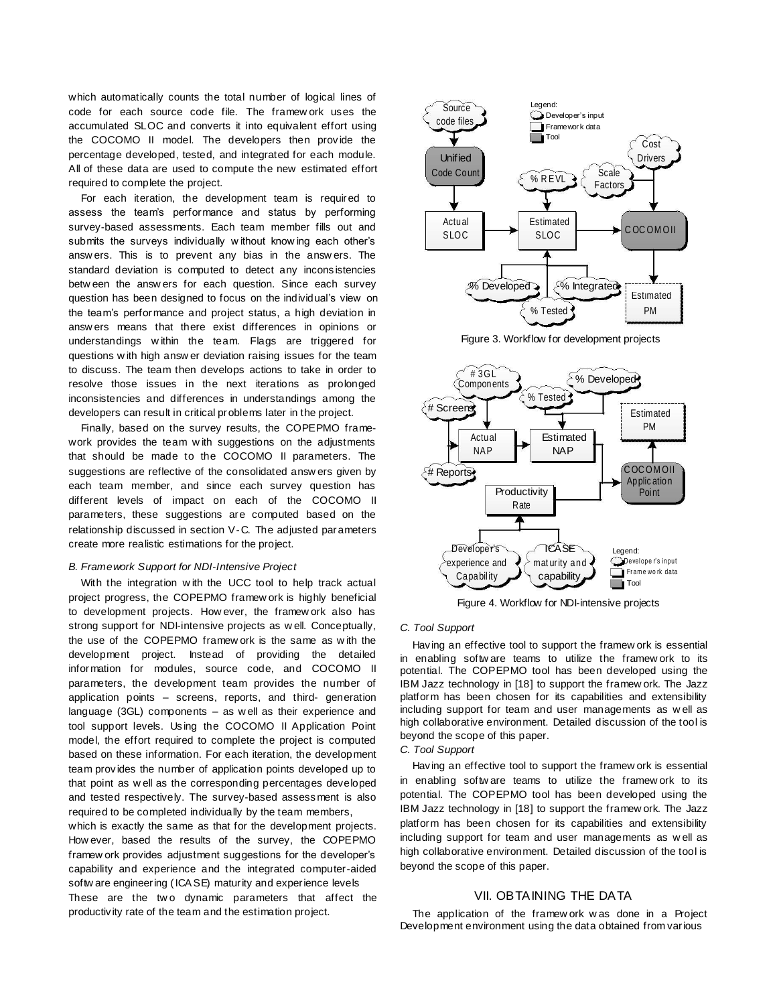which automatically counts the total number of logical lines of code for each source code file. The framew ork uses the accumulated SLOC and converts it into equivalent effort using the COCOMO II model. The developers then provide the percentage developed, tested, and integrated for each module. All of these data are used to compute the new estimated effort required to complete the project.

For each iteration, the development team is required to assess the team's performance and status by performing survey-based assessments. Each team member fills out and submits the surveys individually w ithout know ing each other's answ ers. This is to prevent any bias in the answ ers. The standard deviation is computed to detect any inconsistencies betw een the answ ers for each question. Since each survey question has been designed to focus on the individual's view on the team's performance and project status, a high deviation in answ ers means that there exist differences in opinions or understandings w ithin the team. Flags are triggered for questions w ith high answ er deviation raising issues for the team to discuss. The team then develops actions to take in order to resolve those issues in the next iterations as prolonged inconsistencies and differences in understandings among the developers can result in critical problems later in the project.

Finally, based on the survey results, the COPEPMO framework provides the team w ith suggestions on the adjustments that should be made to the COCOMO II parameters. The suggestions are reflective of the consolidated answ ers given by each team member, and since each survey question has different levels of impact on each of the COCOMO II parameters, these suggestions are computed based on the relationship discussed in section V-C. The adjusted parameters create more realistic estimations for the project.

#### *B. Framework Support for NDI-Intensive Project*

With the integration with the UCC tool to help track actual project progress, the COPEPMO framew ork is highly beneficial to development projects. How ever, the framew ork also has strong support for NDI-intensive projects as w ell. Conceptually, the use of the COPEPMO framew ork is the same as w ith the development project. Instead of providing the detailed information for modules, source code, and COCOMO II parameters, the development team provides the number of application points – screens, reports, and third- generation language (3GL) components – as w ell as their experience and tool support levels. Using the COCOMO II Application Point model, the effort required to complete the project is computed based on these information. For each iteration, the development team provides the number of application points developed up to that point as w ell as the corresponding percentages developed and tested respectively. The survey-based assessment is also required to be completed individually by the team members,

which is exactly the same as that for the development projects. How ever, based the results of the survey, the COPEPMO framew ork provides adjustment suggestions for the developer's capability and experience and the integrated computer-aided softw are engineering (ICA SE) maturity and experience levels These are the two dynamic parameters that affect the productivity rate of the team and the estimation project.



Figure 3. Workflow for development projects



Figure 4. Workflow for NDI-intensive projects

### *C. Tool Support*

Having an effective tool to support the framew ork is essential in enabling softw are teams to utilize the framew ork to its potential. The COPEPMO tool has been developed using the IBM Jazz technology in [18] to support the framew ork. The Jazz platform has been chosen for its capabilities and extensibility including support for team and user managements as w ell as high collaborative environment. Detailed discussion of the tool is beyond the scope of this paper.

# *C. Tool Support*

Having an effective tool to support the framew ork is essential in enabling softw are teams to utilize the framew ork to its potential. The COPEPMO tool has been developed using the IBM Jazz technology in [18] to support the framew ork. The Jazz platform has been chosen for its capabilities and extensibility including support for team and user managements as w ell as high collaborative environment. Detailed discussion of the tool is beyond the scope of this paper.

# VII. OBTAINING THE DATA

The application of the framew ork w as done in a Project Development environment using the data obtained from various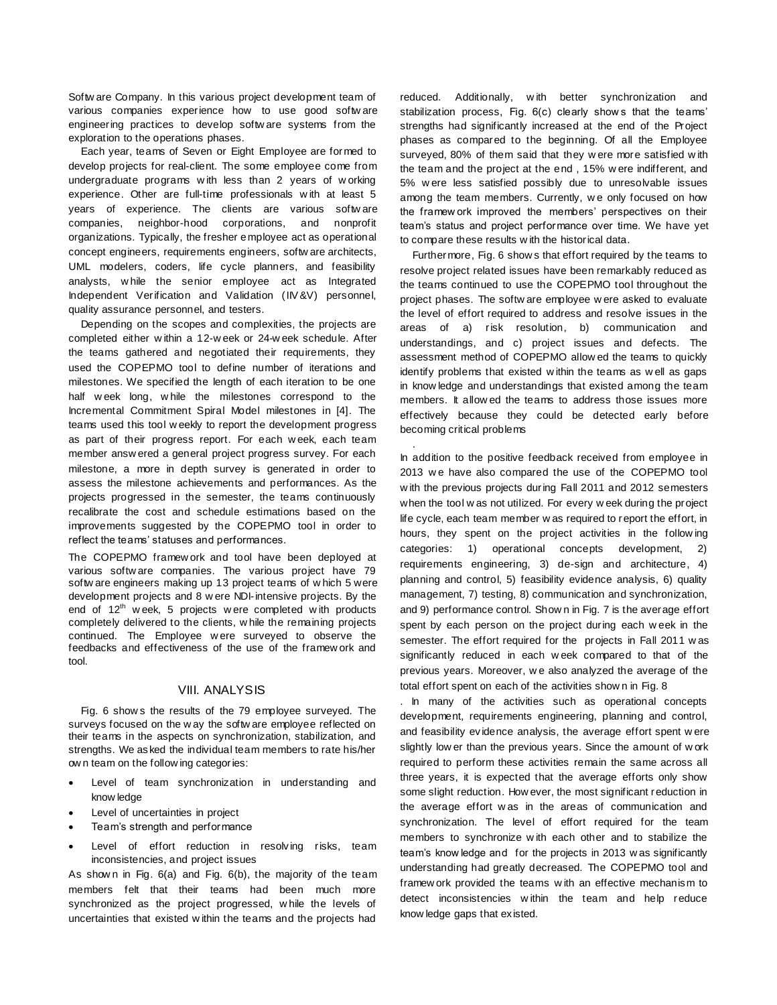Softw are Company. In this various project development team of various companies experience how to use good softw are engineering practices to develop softw are systems from the exploration to the operations phases.

Each year, teams of Seven or Eight Employee are formed to develop projects for real-client. The some employee come from undergraduate programs w ith less than 2 years of w orking experience. Other are full-time professionals w ith at least 5 years of experience. The clients are various softw are companies, neighbor-hood corporations, and nonprofit organizations. Typically, the fresher employee act as operational concept engineers, requirements engineers, softw are architects, UML modelers, coders, life cycle planners, and feasibility analysts, w hile the senior employee act as Integrated Independent Verification and Validation (IIV &V) personnel, quality assurance personnel, and testers.

Depending on the scopes and complexities, the projects are completed either w ithin a 12-w eek or 24-w eek schedule. After the teams gathered and negotiated their requirements, they used the COPEPMO tool to define number of iterations and milestones. We specified the length of each iteration to be one half w eek long, w hile the milestones correspond to the Incremental Commitment Spiral Model milestones in [4]. The teams used this tool w eekly to report the development progress as part of their progress report. For each w eek, each team member answ ered a general project progress survey. For each milestone, a more in depth survey is generated in order to assess the milestone achievements and performances. As the projects progressed in the semester, the teams continuously recalibrate the cost and schedule estimations based on the improvements suggested by the COPEPMO tool in order to reflect the teams' statuses and performances.

The COPEPMO framew ork and tool have been deployed at various softw are companies. The various project have 79 softw are engineers making up 13 project teams of w hich 5 were development projects and 8 w ere NDI-intensive projects. By the end of  $12<sup>th</sup>$  week, 5 projects were completed with products completely delivered to the clients, w hile the remaining projects continued. The Employee w ere surveyed to observe the feedbacks and effectiveness of the use of the framew ork and tool.

# VIII. ANALYSIS

Fig. 6 show s the results of the 79 employee surveyed. The surveys focused on the w ay the softw are employee reflected on their teams in the aspects on synchronization, stabilization, and strengths. We asked the individual team members to rate his/her ow n team on the follow ing categories:

- Level of team synchronization in understanding and know ledge
- Level of uncertainties in project
- Team's strength and performance
- Level of effort reduction in resolving risks, team inconsistencies, and project issues

As show n in Fig. 6(a) and Fig. 6(b), the majority of the team members felt that their teams had been much more synchronized as the project progressed, w hile the levels of uncertainties that existed w ithin the teams and the projects had

reduced. Additionally, w ith better synchronization and stabilization process, Fig. 6(c) clearly show s that the teams' strengths had significantly increased at the end of the Project phases as compared to the beginning. Of all the Employee surveyed, 80% of them said that they w ere more satisfied w ith the team and the project at the end , 15% w ere indifferent, and 5% w ere less satisfied possibly due to unresolvable issues among the team members. Currently, we only focused on how the framew ork improved the members' perspectives on their team's status and project performance over time. We have yet to compare these results w ith the historical data.

Furthermore, Fig. 6 show s that effort required by the teams to resolve project related issues have been remarkably reduced as the teams continued to use the COPEPMO tool throughout the project phases. The softw are employee w ere asked to evaluate the level of effort required to address and resolve issues in the areas of a) risk resolution, b) communication and understandings, and c) project issues and defects. The assessment method of COPEPMO allow ed the teams to quickly identify problems that existed w ithin the teams as w ell as gaps in know ledge and understandings that existed among the team members. It allow ed the teams to address those issues more effectively because they could be detected early before becoming critical problems

.

In addition to the positive feedback received from employee in 2013 w e have also compared the use of the COPEPMO tool w ith the previous projects during Fall 2011 and 2012 semesters when the tool w as not utilized. For every w eek during the project life cycle, each team member w as required to report the effort, in hours, they spent on the project activities in the follow ing categories: 1) operational concepts development, 2) requirements engineering, 3) de-sign and architecture, 4) planning and control, 5) feasibility evidence analysis, 6) quality management, 7) testing, 8) communication and synchronization, and 9) performance control. Show n in Fig. 7 is the average effort spent by each person on the project during each w eek in the semester. The effort required for the projects in Fall 2011 w as significantly reduced in each w eek compared to that of the previous years. Moreover, w e also analyzed the average of the total effort spent on each of the activities show n in Fig. 8

. In many of the activities such as operational concepts development, requirements engineering, planning and control, and feasibility evidence analysis, the average effort spent w ere slightly low er than the previous years. Since the amount of w ork required to perform these activities remain the same across all three years, it is expected that the average efforts only show some slight reduction. How ever, the most significant reduction in the average effort w as in the areas of communication and synchronization. The level of effort required for the team members to synchronize w ith each other and to stabilize the team's know ledge and for the projects in 2013 w as significantly understanding had greatly decreased. The COPEPMO tool and framew ork provided the teams w ith an effective mechanism to detect inconsistencies w ithin the team and help reduce know ledge gaps that existed.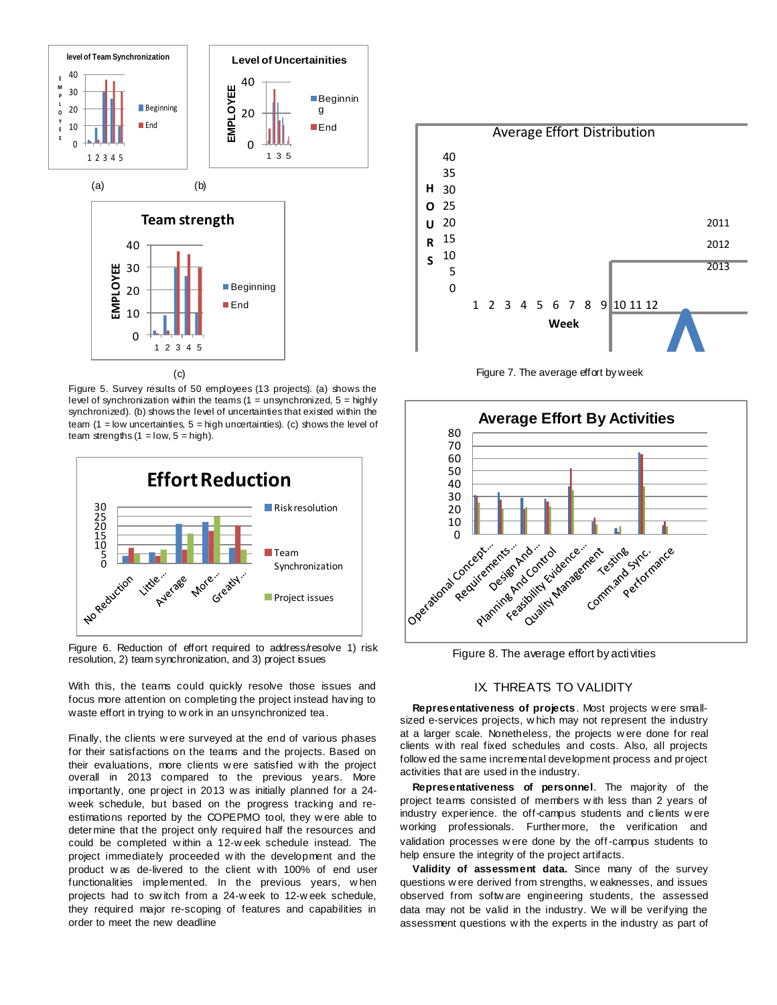

Figure 5. Survey results of 50 employees (13 projects). (a) shows the level of synchronization within the teams  $(1 =$  unsynchronized,  $5 =$  highly synchronized). (b) shows the level of uncertainties that existed within the team  $(1 = low$  uncertainties,  $5 = high$  uncertainties). (c) shows the level of team strengths  $(1 = low, 5 = high)$ .



Figure 6. Reduction of effort required to address/resolve 1) risk resolution, 2) team synchronization, and 3) project issues

With this, the teams could quickly resolve those issues and focus more attention on completing the project instead having to waste effort in trying to w ork in an unsynchronized tea.

Finally, the clients w ere surveyed at the end of various phases for their satisfactions on the teams and the projects. Based on their evaluations, more clients w ere satisfied w ith the project overall in 2013 compared to the previous years. More importantly, one project in 2013 w as initially planned for a 24 week schedule, but based on the progress tracking and reestimations reported by the COPEPMO tool, they w ere able to determine that the project only required half the resources and could be completed w ithin a 12-w eek schedule instead. The project immediately proceeded w ith the development and the product w as de-livered to the client w ith 100% of end user functionalities implemented. In the previous years, w hen projects had to sw itch from a 24-w eek to 12-w eek schedule, they required major re-scoping of features and capabilities in order to meet the new deadline



Figure 7. The average effort by week



Figure 8. The average effort by activities

# IX. THREATS TO VALIDITY

**Representativeness of projects**. Most projects w ere smallsized e-services projects, w hich may not represent the industry at a larger scale. Nonetheless, the projects w ere done for real clients w ith real fixed schedules and costs. Also, all projects follow ed the same incremental development process and project activities that are used in the industry.

**Representativeness of personnel**. The majority of the project teams consisted of members w ith less than 2 years of industry experience. the off-campus students and clients w ere working professionals. Furthermore, the verification and validation processes w ere done by the off-campus students to help ensure the integrity of the project artifacts.

**Validity of assessment data.** Since many of the survey questions w ere derived from strengths, w eaknesses, and issues observed from softw are engineering students, the assessed data may not be valid in the industry. We w ill be verifying the assessment questions w ith the experts in the industry as part of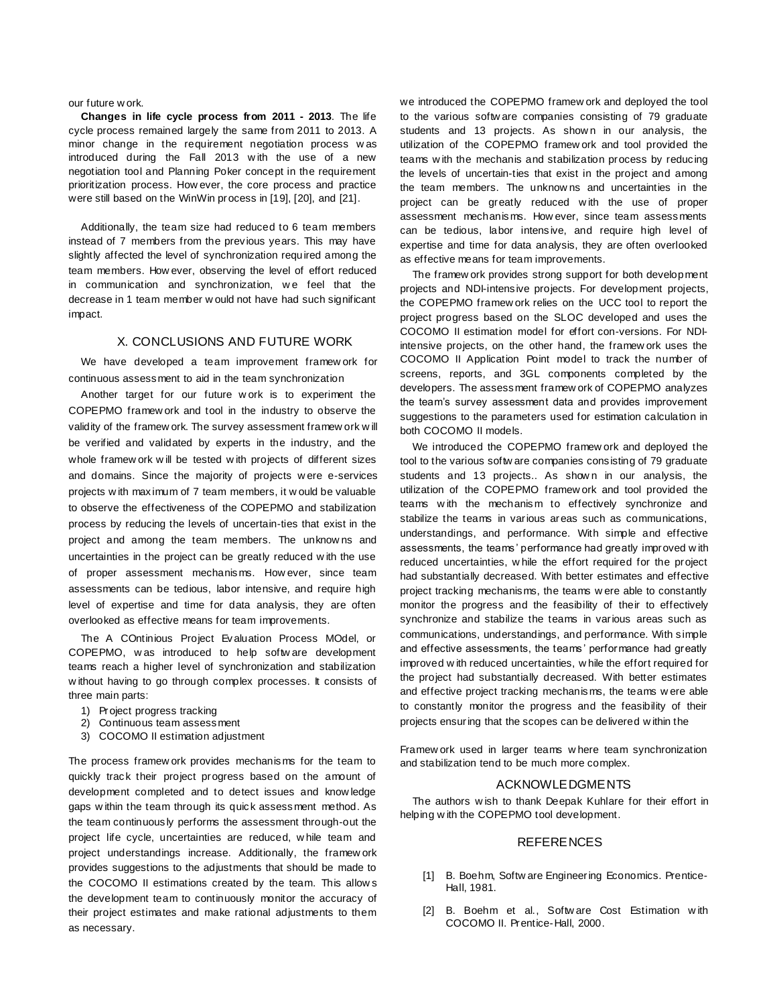#### our future w ork.

**Changes in life cycle process from 2011 - 2013**. The life cycle process remained largely the same from 2011 to 2013. A minor change in the requirement negotiation process w as introduced during the Fall 2013 w ith the use of a new negotiation tool and Planning Poker concept in the requirement prioritization process. How ever, the core process and practice were still based on the WinWin process in [19], [20], and [21].

Additionally, the team size had reduced to 6 team members instead of 7 members from the previous years. This may have slightly affected the level of synchronization required among the team members. How ever, observing the level of effort reduced in communication and synchronization, we feel that the decrease in 1 team member w ould not have had such significant impact.

# X. CONCLUSIONS AND FUTURE WORK

We have developed a team improvement framew ork for continuous assessment to aid in the team synchronization

Another target for our future w ork is to experiment the COPEPMO framew ork and tool in the industry to observe the validity of the framew ork. The survey assessment framew ork w ill be verified and validated by experts in the industry, and the whole framew ork w ill be tested w ith projects of different sizes and domains. Since the majority of projects w ere e-services projects w ith maximum of 7 team members, it w ould be valuable to observe the effectiveness of the COPEPMO and stabilization process by reducing the levels of uncertain-ties that exist in the project and among the team members. The unknow ns and uncertainties in the project can be greatly reduced w ith the use of proper assessment mechanisms. How ever, since team assessments can be tedious, labor intensive, and require high level of expertise and time for data analysis, they are often overlooked as effective means for team improvements.

The A COntinious Project Evaluation Process MOdel, or COPEPMO, w as introduced to help softw are development teams reach a higher level of synchronization and stabilization w ithout having to go through complex processes. It consists of three main parts:

- 1) Project progress tracking
- 2) Continuous team assessment
- 3) COCOMO II estimation adjustment

The process framew ork provides mechanisms for the team to quickly track their project progress based on the amount of development completed and to detect issues and know ledge gaps w ithin the team through its quick assessment method. As the team continuously performs the assessment through-out the project life cycle, uncertainties are reduced, w hile team and project understandings increase. Additionally, the framew ork provides suggestions to the adjustments that should be made to the COCOMO II estimations created by the team. This allow s the development team to continuously monitor the accuracy of their project estimates and make rational adjustments to them as necessary.

we introduced the COPEPMO framew ork and deployed the tool to the various softw are companies consisting of 79 graduate students and 13 projects. As shown in our analysis, the utilization of the COPEPMO framew ork and tool provided the teams w ith the mechanis and stabilization process by reducing the levels of uncertain-ties that exist in the project and among the team members. The unknow ns and uncertainties in the project can be greatly reduced w ith the use of proper assessment mechanisms. How ever, since team assessments can be tedious, labor intensive, and require high level of expertise and time for data analysis, they are often overlooked as effective means for team improvements.

The framew ork provides strong support for both development projects and NDI-intensive projects. For development projects, the COPEPMO framew ork relies on the UCC tool to report the project progress based on the SLOC developed and uses the COCOMO II estimation model for effort con-versions. For NDIintensive projects, on the other hand, the framew ork uses the COCOMO II Application Point model to track the number of screens, reports, and 3GL components completed by the developers. The assessment framew ork of COPEPMO analyzes the team's survey assessment data and provides improvement suggestions to the parameters used for estimation calculation in both COCOMO II models.

We introduced the COPEPMO framew ork and deployed the tool to the various softw are companies consisting of 79 graduate students and 13 projects.. As show n in our analysis, the utilization of the COPEPMO framew ork and tool provided the teams w ith the mechanism to effectively synchronize and stabilize the teams in various areas such as communications, understandings, and performance. With simple and effective assessments, the teams' performance had greatly improved w ith reduced uncertainties, w hile the effort required for the project had substantially decreased. With better estimates and effective project tracking mechanisms, the teams w ere able to constantly monitor the progress and the feasibility of their to effectively synchronize and stabilize the teams in various areas such as communications, understandings, and performance. With simple and effective assessments, the teams' performance had greatly improved w ith reduced uncertainties, w hile the effort required for the project had substantially decreased. With better estimates and effective project tracking mechanisms, the teams w ere able to constantly monitor the progress and the feasibility of their projects ensuring that the scopes can be delivered w ithin the

Framew ork used in larger teams w here team synchronization and stabilization tend to be much more complex.

# ACKNOWLEDGMENTS

The authors w ish to thank Deepak Kuhlare for their effort in helping w ith the COPEPMO tool development.

### **REFERENCES**

- [1] B. Boehm, Softw are Engineering Economics. Prentice-Hall, 1981.
- [2] B. Boehm et al., Softw are Cost Estimation with COCOMO II. Prentice-Hall, 2000.